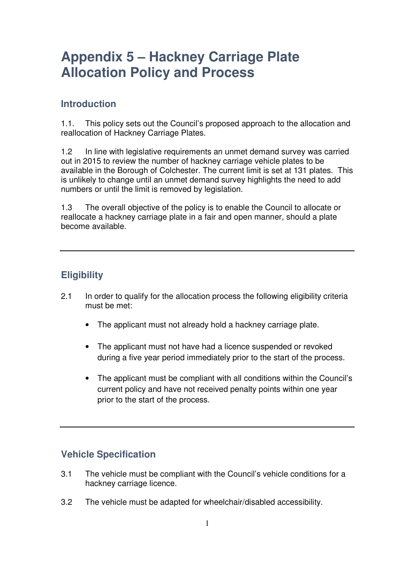## **Appendix 5 – Hackney Carriage Plate Allocation Policy and Process**

## **Introduction**

1.1. This policy sets out the Council's proposed approach to the allocation and reallocation of Hackney Carriage Plates.

1.2 In line with legislative requirements an unmet demand survey was carried out in 2015 to review the number of hackney carriage vehicle plates to be available in the Borough of Colchester. The current limit is set at 131 plates. This is unlikely to change until an unmet demand survey highlights the need to add numbers or until the limit is removed by legislation.

1.3 The overall objective of the policy is to enable the Council to allocate or reallocate a hackney carriage plate in a fair and open manner, should a plate become available.

## **Eligibility**

- 2.1 In order to qualify for the allocation process the following eligibility criteria must be met:
	- The applicant must not already hold a hackney carriage plate.
	- The applicant must not have had a licence suspended or revoked during a five year period immediately prior to the start of the process.
	- The applicant must be compliant with all conditions within the Council's current policy and have not received penalty points within one year prior to the start of the process.

## **Vehicle Specification**

- 3.1 The vehicle must be compliant with the Council's vehicle conditions for a hackney carriage licence.
- 3.2 The vehicle must be adapted for wheelchair/disabled accessibility.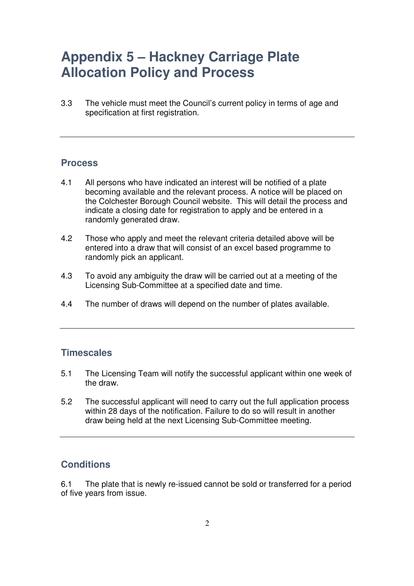## **Appendix 5 – Hackney Carriage Plate Allocation Policy and Process**

3.3 The vehicle must meet the Council's current policy in terms of age and specification at first registration.

#### **Process**

- 4.1 All persons who have indicated an interest will be notified of a plate becoming available and the relevant process. A notice will be placed on the Colchester Borough Council website. This will detail the process and indicate a closing date for registration to apply and be entered in a randomly generated draw.
- 4.2 Those who apply and meet the relevant criteria detailed above will be entered into a draw that will consist of an excel based programme to randomly pick an applicant.
- 4.3 To avoid any ambiguity the draw will be carried out at a meeting of the Licensing Sub-Committee at a specified date and time.
- 4.4 The number of draws will depend on the number of plates available.

#### **Timescales**

- 5.1 The Licensing Team will notify the successful applicant within one week of the draw.
- 5.2 The successful applicant will need to carry out the full application process within 28 days of the notification. Failure to do so will result in another draw being held at the next Licensing Sub-Committee meeting.

### **Conditions**

6.1 The plate that is newly re-issued cannot be sold or transferred for a period of five years from issue.